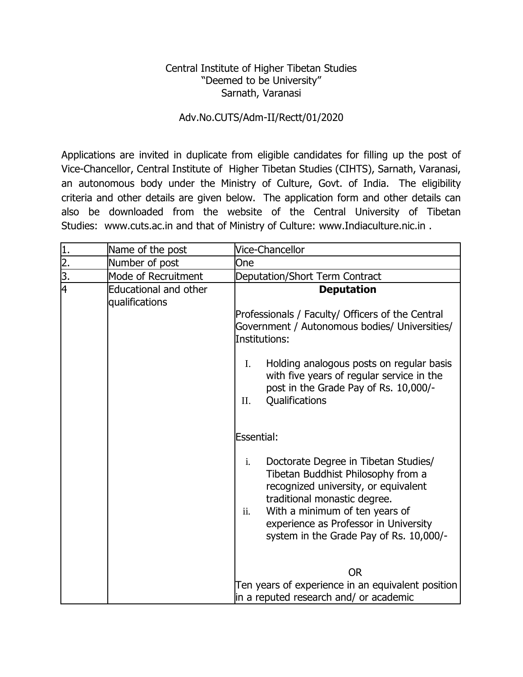## Central Institute of Higher Tibetan Studies "Deemed to be University" Sarnath, Varanasi

## Adv.No.CUTS/Adm-II/Rectt/01/2020

Applications are invited in duplicate from eligible candidates for filling up the post of Vice-Chancellor, Central Institute of Higher Tibetan Studies (CIHTS), Sarnath, Varanasi, an autonomous body under the Ministry of Culture, Govt. of India. The eligibility criteria and other details are given below. The application form and other details can also be downloaded from the website of the Central University of Tibetan Studies: www.cuts.ac.in and that of Ministry of Culture: www.Indiaculture.nic.in .

| Number of post                                 | One                                                                                                                                                                                                                                                                                                                                                                                                                         |
|------------------------------------------------|-----------------------------------------------------------------------------------------------------------------------------------------------------------------------------------------------------------------------------------------------------------------------------------------------------------------------------------------------------------------------------------------------------------------------------|
| Mode of Recruitment                            | Deputation/Short Term Contract                                                                                                                                                                                                                                                                                                                                                                                              |
| <b>Educational and other</b><br>qualifications | <b>Deputation</b><br>Professionals / Faculty/ Officers of the Central<br>Government / Autonomous bodies/ Universities/<br>Institutions:<br>Holding analogous posts on regular basis<br>$\mathbf{I}$ .<br>with five years of regular service in the<br>post in the Grade Pay of Rs. 10,000/-<br>Qualifications<br>II.                                                                                                        |
|                                                | Essential:<br>$\mathbf{i}$ .<br>Doctorate Degree in Tibetan Studies/<br>Tibetan Buddhist Philosophy from a<br>recognized university, or equivalent<br>traditional monastic degree.<br>With a minimum of ten years of<br>ii.<br>experience as Professor in University<br>system in the Grade Pay of Rs. 10,000/-<br><b>OR</b><br>Ten years of experience in an equivalent position<br>in a reputed research and/ or academic |
|                                                |                                                                                                                                                                                                                                                                                                                                                                                                                             |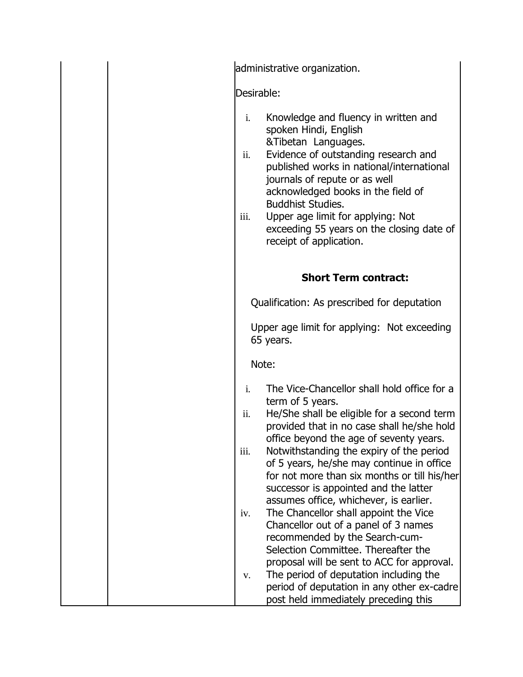administrative organization. Desirable: i. Knowledge and fluency in written and spoken Hindi, English &Tibetan Languages. ii. Evidence of outstanding research and published works in national/international journals of repute or as well acknowledged books in the field of Buddhist Studies. iii. Upper age limit for applying: Not exceeding 55 years on the closing date of

receipt of application.

## **Short Term contract:**

Qualification: As prescribed for deputation

Upper age limit for applying: Not exceeding 65 years.

Note:

| The Vice-Chancellor shall hold office for a |
|---------------------------------------------|
| term of 5 years.                            |

ii. He/She shall be eligible for a second term provided that in no case shall he/she hold office beyond the age of seventy years.

iii. Notwithstanding the expiry of the period of 5 years, he/she may continue in office for not more than six months or till his/her successor is appointed and the latter assumes office, whichever, is earlier.

- iv. The Chancellor shall appoint the Vice Chancellor out of a panel of 3 names recommended by the Search-cum-Selection Committee. Thereafter the proposal will be sent to ACC for approval. v. The period of deputation including the
- period of deputation in any other ex-cadre post held immediately preceding this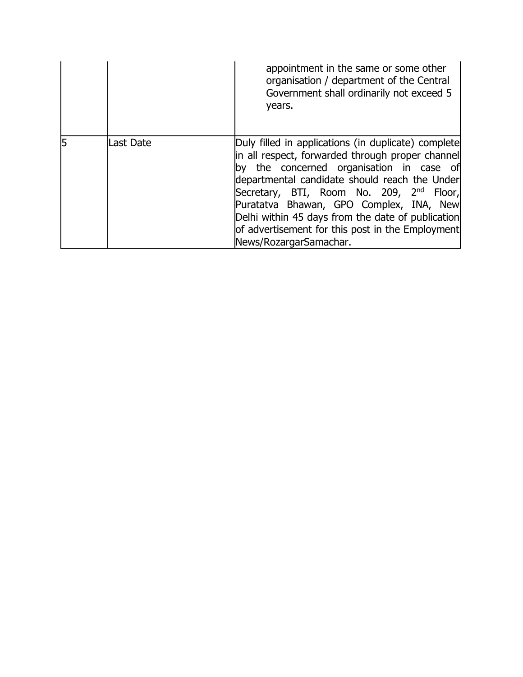|   |           | appointment in the same or some other<br>organisation / department of the Central<br>Government shall ordinarily not exceed 5<br>years.                                                                                                                                                                                                                                                                                                            |
|---|-----------|----------------------------------------------------------------------------------------------------------------------------------------------------------------------------------------------------------------------------------------------------------------------------------------------------------------------------------------------------------------------------------------------------------------------------------------------------|
| 5 | Last Date | Duly filled in applications (in duplicate) complete<br>in all respect, forwarded through proper channel<br>the concerned organisation in case of<br>lby.<br>departmental candidate should reach the Under<br>Secretary, BTI, Room No. 209, 2 <sup>nd</sup><br>Floor,<br>Puratatva Bhawan, GPO Complex, INA, New<br>Delhi within 45 days from the date of publication<br>of advertisement for this post in the Employment<br>News/RozargarSamachar. |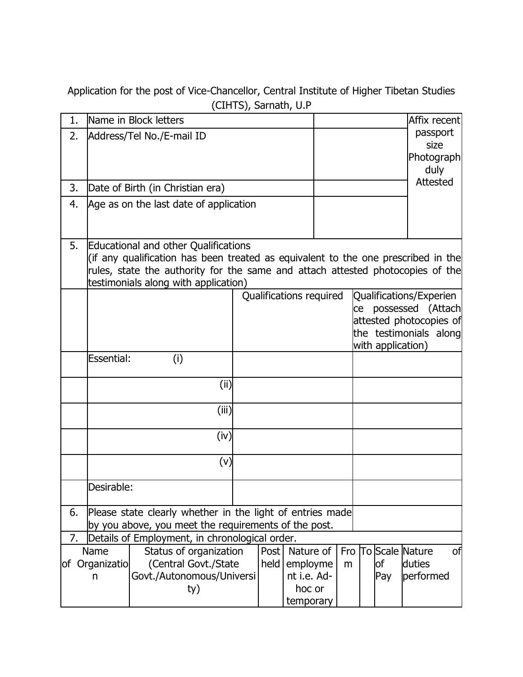Application for the post of Vice-Chancellor, Central Institute of Higher Tibetan Studies (CIHTS), Sarnath, U.P

| 1. | Name in Block letters                                                                                                                                                                                                                                      |                                                                                    |       |                         |                                                |   |  |                                                                                                                           | Affix recent                                     |  |  |
|----|------------------------------------------------------------------------------------------------------------------------------------------------------------------------------------------------------------------------------------------------------------|------------------------------------------------------------------------------------|-------|-------------------------|------------------------------------------------|---|--|---------------------------------------------------------------------------------------------------------------------------|--------------------------------------------------|--|--|
| 2. | Address/Tel No./E-mail ID                                                                                                                                                                                                                                  |                                                                                    |       |                         |                                                |   |  |                                                                                                                           | passport<br>size<br>Photograph<br>duly           |  |  |
| 3. |                                                                                                                                                                                                                                                            | Date of Birth (in Christian era)                                                   |       |                         |                                                |   |  |                                                                                                                           | <b>Attested</b>                                  |  |  |
| 4. |                                                                                                                                                                                                                                                            | Age as on the last date of application                                             |       |                         |                                                |   |  |                                                                                                                           |                                                  |  |  |
| 5. | <b>Educational and other Qualifications</b><br>(if any qualification has been treated as equivalent to the one prescribed in the<br>rules, state the authority for the same and attach attested photocopies of the<br>testimonials along with application) |                                                                                    |       |                         |                                                |   |  |                                                                                                                           |                                                  |  |  |
|    |                                                                                                                                                                                                                                                            |                                                                                    |       | Qualifications required |                                                |   |  | Qualifications/Experien<br>ce possessed (Attach<br>attested photocopies of<br>the testimonials along<br>with application) |                                                  |  |  |
|    | Essential:                                                                                                                                                                                                                                                 | (i)                                                                                |       |                         |                                                |   |  |                                                                                                                           |                                                  |  |  |
|    |                                                                                                                                                                                                                                                            |                                                                                    | (i)   |                         |                                                |   |  |                                                                                                                           |                                                  |  |  |
|    |                                                                                                                                                                                                                                                            |                                                                                    | (iii) |                         |                                                |   |  |                                                                                                                           |                                                  |  |  |
|    |                                                                                                                                                                                                                                                            |                                                                                    | (iv)  |                         |                                                |   |  |                                                                                                                           |                                                  |  |  |
|    |                                                                                                                                                                                                                                                            |                                                                                    | (v)   |                         |                                                |   |  |                                                                                                                           |                                                  |  |  |
|    | Desirable:                                                                                                                                                                                                                                                 |                                                                                    |       |                         |                                                |   |  |                                                                                                                           |                                                  |  |  |
| 6. | Please state clearly whether in the light of entries made<br>by you above, you meet the requirements of the post.                                                                                                                                          |                                                                                    |       |                         |                                                |   |  |                                                                                                                           |                                                  |  |  |
| 7. |                                                                                                                                                                                                                                                            | Details of Employment, in chronological order.                                     |       |                         |                                                |   |  |                                                                                                                           |                                                  |  |  |
|    | Name<br>of Organizatio<br>n                                                                                                                                                                                                                                | Status of organization<br>(Central Govt./State<br>Govt./Autonomous/Universi<br>ty) |       | Post<br>held            | Nature of<br>employme<br>nt i.e. Ad-<br>hoc or | m |  | of<br>Pay                                                                                                                 | Fro To Scale Nature<br>of<br>duties<br>performed |  |  |
|    |                                                                                                                                                                                                                                                            |                                                                                    |       |                         | temporary                                      |   |  |                                                                                                                           |                                                  |  |  |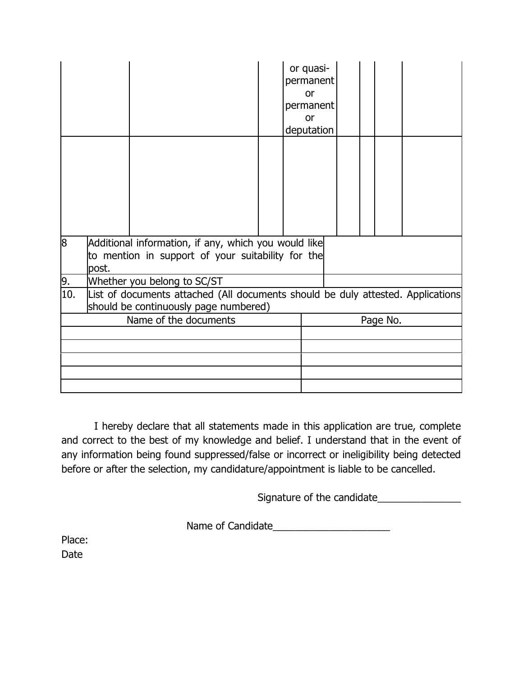|     |                                                                                                                          |  |  |  | or quasi-<br>permanent<br>or<br>permanent<br>or<br>deputation |          |  |  |  |  |  |
|-----|--------------------------------------------------------------------------------------------------------------------------|--|--|--|---------------------------------------------------------------|----------|--|--|--|--|--|
|     |                                                                                                                          |  |  |  |                                                               |          |  |  |  |  |  |
| 8   | Additional information, if any, which you would like<br>to mention in support of your suitability for the<br>post.       |  |  |  |                                                               |          |  |  |  |  |  |
| 9.  | Whether you belong to SC/ST                                                                                              |  |  |  |                                                               |          |  |  |  |  |  |
| 10. | List of documents attached (All documents should be duly attested. Applications<br>should be continuously page numbered) |  |  |  |                                                               |          |  |  |  |  |  |
|     | Name of the documents                                                                                                    |  |  |  |                                                               | Page No. |  |  |  |  |  |
|     |                                                                                                                          |  |  |  |                                                               |          |  |  |  |  |  |
|     |                                                                                                                          |  |  |  |                                                               |          |  |  |  |  |  |
|     |                                                                                                                          |  |  |  |                                                               |          |  |  |  |  |  |
|     |                                                                                                                          |  |  |  |                                                               |          |  |  |  |  |  |
|     |                                                                                                                          |  |  |  |                                                               |          |  |  |  |  |  |

I hereby declare that all statements made in this application are true, complete and correct to the best of my knowledge and belief. I understand that in the event of any information being found suppressed/false or incorrect or ineligibility being detected before or after the selection, my candidature/appointment is liable to be cancelled.

Signature of the candidate\_\_\_\_\_\_\_\_\_\_\_\_\_\_\_

Name of Candidate\_\_\_\_\_\_\_\_\_\_\_\_\_\_\_\_\_\_\_\_\_

Place: Date